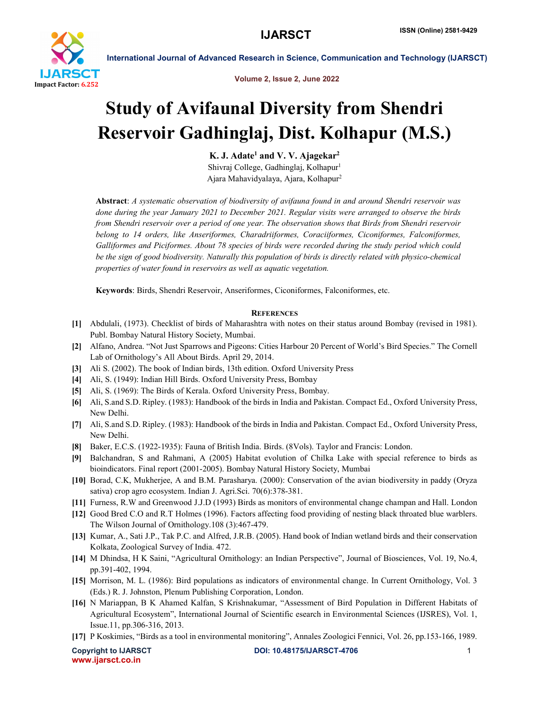

International Journal of Advanced Research in Science, Communication and Technology (IJARSCT)

Volume 2, Issue 2, June 2022

## Study of Avifaunal Diversity from Shendri Reservoir Gadhinglaj, Dist. Kolhapur (M.S.)

K. J. Adate<sup>1</sup> and V. V. Ajagekar<sup>2</sup> Shivraj College, Gadhinglaj, Kolhapur<sup>1</sup> Ajara Mahavidyalaya, Ajara, Kolhapur2

Abstract: *A systematic observation of biodiversity of avifauna found in and around Shendri reservoir was done during the year January 2021 to December 2021. Regular visits were arranged to observe the birds from Shendri reservoir over a period of one year. The observation shows that Birds from Shendri reservoir belong to 14 orders, like Anseriformes, Charadriiformes, Coraciiformes, Ciconiformes, Falconiformes, Galliformes and Piciformes. About 78 species of birds were recorded during the study period which could be the sign of good biodiversity. Naturally this population of birds is directly related with physico-chemical properties of water found in reservoirs as well as aquatic vegetation.*

Keywords: Birds, Shendri Reservoir, Anseriformes, Ciconiformes, Falconiformes, etc.

## **REFERENCES**

- [1] Abdulali, (1973). Checklist of birds of Maharashtra with notes on their status around Bombay (revised in 1981). Publ. Bombay Natural History Society, Mumbai.
- [2] Alfano, Andrea. "Not Just Sparrows and Pigeons: Cities Harbour 20 Percent of World's Bird Species." The Cornell Lab of Ornithology's All About Birds. April 29, 2014.
- [3] Ali S. (2002). The book of Indian birds, 13th edition. Oxford University Press
- [4] Ali, S. (1949): Indian Hill Birds. Oxford University Press, Bombay
- [5] Ali, S. (1969): The Birds of Kerala. Oxford University Press, Bombay.
- [6] Ali, S.and S.D. Ripley. (1983): Handbook of the birds in India and Pakistan. Compact Ed., Oxford University Press, New Delhi.
- [7] Ali, S.and S.D. Ripley. (1983): Handbook of the birds in India and Pakistan. Compact Ed., Oxford University Press, New Delhi.
- [8] Baker, E.C.S. (1922-1935): Fauna of British India. Birds. (8Vols). Taylor and Francis: London.
- [9] Balchandran, S and Rahmani, A (2005) Habitat evolution of Chilka Lake with special reference to birds as bioindicators. Final report (2001-2005). Bombay Natural History Society, Mumbai
- [10] Borad, C.K, Mukherjee, A and B.M. Parasharya. (2000): Conservation of the avian biodiversity in paddy (Oryza sativa) crop agro ecosystem. Indian J. Agri.Sci. 70(6):378-381.
- [11] Furness, R.W and Greenwood J.J.D (1993) Birds as monitors of environmental change champan and Hall. London
- [12] Good Bred C.O and R.T Holmes (1996). Factors affecting food providing of nesting black throated blue warblers. The Wilson Journal of Ornithology.108 (3):467-479.
- [13] Kumar, A., Sati J.P., Tak P.C. and Alfred, J.R.B. (2005). Hand book of Indian wetland birds and their conservation Kolkata, Zoological Survey of India. 472.
- [14] M Dhindsa, H K Saini, "Agricultural Ornithology: an Indian Perspective", Journal of Biosciences, Vol. 19, No.4, pp.391-402, 1994.
- [15] Morrison, M. L. (1986): Bird populations as indicators of environmental change. In Current Ornithology, Vol. 3 (Eds.) R. J. Johnston, Plenum Publishing Corporation, London.
- [16] N Mariappan, B K Ahamed Kalfan, S Krishnakumar, "Assessment of Bird Population in Different Habitats of Agricultural Ecosystem", International Journal of Scientific esearch in Environmental Sciences (IJSRES), Vol. 1, Issue.11, pp.306-316, 2013.
- [17] P Koskimies, "Birds as a tool in environmental monitoring", Annales Zoologici Fennici, Vol. 26, pp.153-166, 1989.

www.ijarsct.co.in